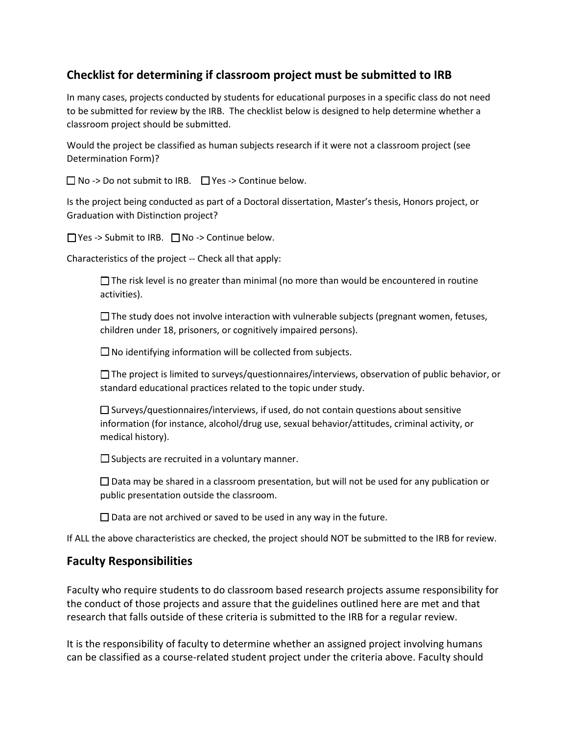## **Checklist for determining if classroom project must be submitted to IRB**

In many cases, projects conducted by students for educational purposes in a specific class do not need to be submitted for review by the IRB. The checklist below is designed to help determine whether a classroom project should be submitted.

Would the project be classified as human subjects research if it were not a classroom project (see Determination Form)?

 $\Box$  No -> Do not submit to IRB.  $\Box$  Yes -> Continue below.

Is the project being conducted as part of a Doctoral dissertation, Master's thesis, Honors project, or Graduation with Distinction project?

☐ Yes -> Submit to IRB. ☐ No -> Continue below.

Characteristics of the project -- Check all that apply:

 $\Box$  The risk level is no greater than minimal (no more than would be encountered in routine activities).

 $\Box$  The study does not involve interaction with vulnerable subjects (pregnant women, fetuses, children under 18, prisoners, or cognitively impaired persons).

 $\square$  No identifying information will be collected from subjects.

 $\square$  The project is limited to surveys/questionnaires/interviews, observation of public behavior, or standard educational practices related to the topic under study.

 $\square$  Surveys/questionnaires/interviews, if used, do not contain questions about sensitive information (for instance, alcohol/drug use, sexual behavior/attitudes, criminal activity, or medical history).

 $\square$  Subjects are recruited in a voluntary manner.

 $\Box$  Data may be shared in a classroom presentation, but will not be used for any publication or public presentation outside the classroom.

 $\Box$  Data are not archived or saved to be used in any way in the future.

If ALL the above characteristics are checked, the project should NOT be submitted to the IRB for review.

## **Faculty Responsibilities**

Faculty who require students to do classroom based research projects assume responsibility for the conduct of those projects and assure that the guidelines outlined here are met and that research that falls outside of these criteria is submitted to the IRB for a regular review.

It is the responsibility of faculty to determine whether an assigned project involving humans can be classified as a course-related student project under the criteria above. Faculty should